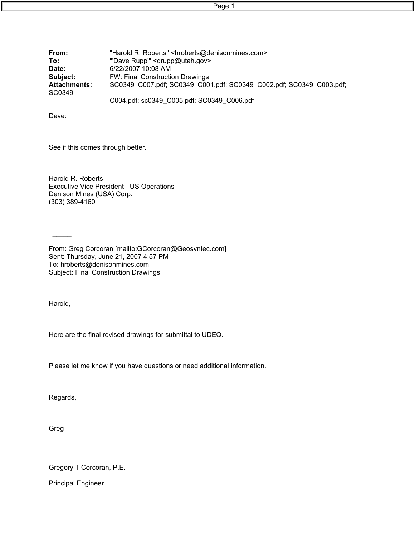Page 1

| From:                         | "Harold R. Roberts" <hroberts@denisonmines.com></hroberts@denisonmines.com> |
|-------------------------------|-----------------------------------------------------------------------------|
| To:                           | "Dave Rupp" < drupp@utah.gov>                                               |
| Date:                         | 6/22/2007 10:08 AM                                                          |
| Subject:                      | <b>FW: Final Construction Drawings</b>                                      |
| <b>Attachments:</b><br>SC0349 | SC0349 C007.pdf; SC0349 C001.pdf; SC0349 C002.pdf; SC0349 C003.pdf;         |
|                               | C004.pdf; sc0349 C005.pdf; SC0349 C006.pdf                                  |

Dave:

See if this comes through better.

Harold R. Roberts Executive Vice President - US Operations Denison Mines (USA) Corp. (303) 389-4160

From: Greg Corcoran [mailto:GCorcoran@Geosyntec.com] Sent: Thursday, June 21, 2007 4:57 PM To: hroberts@denisonmines.com Subject: Final Construction Drawings

Harold,

 $\frac{1}{2}$ 

Here are the final revised drawings for submittal to UDEQ.

Please let me know if you have questions or need additional information.

Regards,

Greg

Gregory T Corcoran, P.E.

Principal Engineer